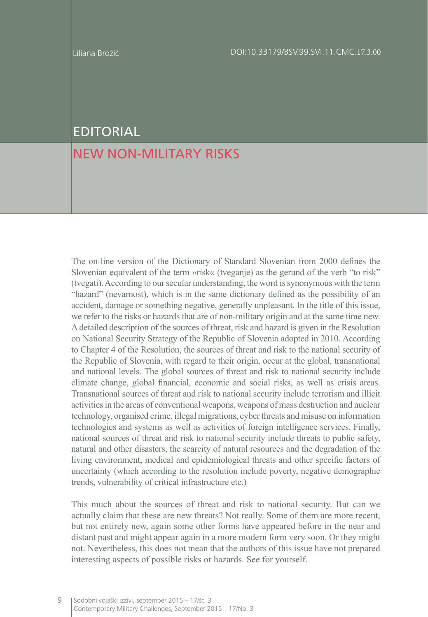## EDITORIAL

## NEW NON-MILITARY RISKS

The on-line version of the Dictionary of Standard Slovenian from 2000 defines the Slovenian equivalent of the term »risk« (tveganje) as the gerund of the verb "to risk" (tvegati). According to our secular understanding, the word is synonymous with the term "hazard" (nevarnost), which is in the same dictionary defined as the possibility of an accident, damage or something negative, generally unpleasant. In the title of this issue, we refer to the risks or hazards that are of non-military origin and at the same time new. A detailed description of the sources of threat, risk and hazard is given in the Resolution on National Security Strategy of the Republic of Slovenia adopted in 2010. According to Chapter 4 of the Resolution, the sources of threat and risk to the national security of the Republic of Slovenia, with regard to their origin, occur at the global, transnational and national levels. The global sources of threat and risk to national security include climate change, global financial, economic and social risks, as well as crisis areas. Transnational sources of threat and risk to national security include terrorism and illicit activities in the areas of conventional weapons, weapons of mass destruction and nuclear technology, organised crime, illegal migrations, cyber threats and misuse on information technologies and systems as well as activities of foreign intelligence services. Finally, national sources of threat and risk to national security include threats to public safety, natural and other disasters, the scarcity of natural resources and the degradation of the living environment, medical and epidemiological threats and other specific factors of uncertainty (which according to the resolution include poverty, negative demographic trends, vulnerability of critical infrastructure etc.)

This much about the sources of threat and risk to national security. But can we actually claim that these are new threats? Not really. Some of them are more recent, but not entirely new, again some other forms have appeared before in the near and distant past and might appear again in a more modern form very soon. Or they might not. Nevertheless, this does not mean that the authors of this issue have not prepared interesting aspects of possible risks or hazards. See for yourself.